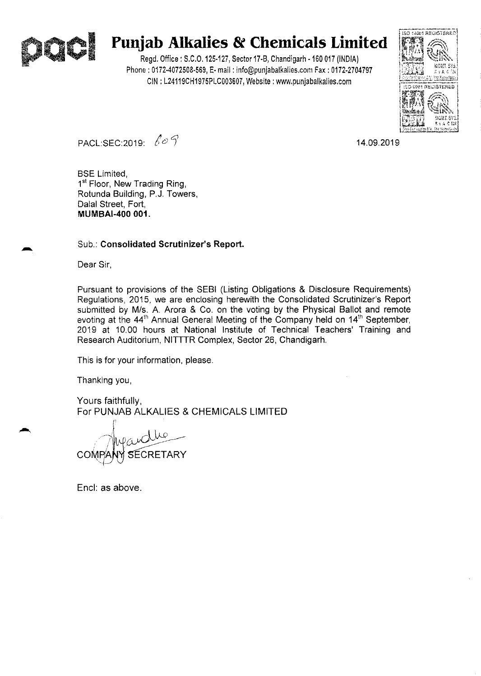

# I **Punjab Alkalies & Chemicals Limited**

Regd, Office: S,C,O, 125·127, Sector 17·8, Chandigarh ·160 017 (INDIA) Phone: 0172·4072508·569, E· mail: info@punjabalkalies,com Fax: 0172·2704797 CIN : L24119CH1975PLC003607, Website: www.punjabalkalies.com



PACL:SEC:2019: *t C) 1* 14.09.2019

BSE Limited, 1<sup>st</sup> Floor, New Trading Ring, Rotunda Building, P.J. Towers, Dalal Street, Fort, **MUMBAI-400 001.** 

### Sub.: **Consolidated Scrutinizer's Report.**

Dear Sir,

Pursuant to provisions of the SEBI (Listing Obligations & Disclosure Requirements) Regulations, 2015, we are enclosing herewith the Consolidated Scrutinizer's Report submitted by M/s. A. Arora & Co. on the voting by the Physical Ballot and remote evoting at the 44<sup>th</sup> Annual General Meeting of the Company held on 14<sup>th</sup> September, 2019 at 10.00 hours at National Institute of Technical Teachers' Training and Research Auditorium, NITTTR Complex, Sector 26, Chandigarh.

This is for your information, please.

Thanking you,

Yours faithfully, For PUNJAB ALKALIES & CHEMICALS LIMITED

**COMF** 

Encl: as above.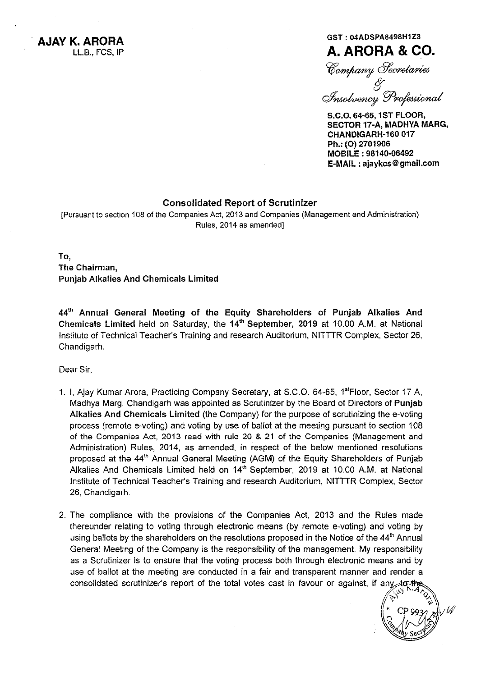**AJAY K. ARORA**  LL.B., FCS, IP

# GST : 04ADSPA8498H1Z3 **A. ARORA & CO.**

*W~6/~* 

*« C2Y~pjJ~* 

S.C.O. 64-65, 1ST FLOOR, SECTOR 17-A, MADHYA MARG, CHANDIGARH-160 017 Ph.: (O) 2701906 MOBILE: 98140-06492 E-MAIL: ajaykcs@gmail.com

## Consolidated Report of Scrutinizer

[Pursuant to section 108 of the Companies Act, 2013 and Companies (Management and Administration) Rules, 2014 as amended]

To, The Chairman, Punjab Alkalies And Chemicals Limited

44<sup>th</sup> Annual General Meeting of the Equity Shareholders of Punjab Alkalies And Chemicals Limited held on Saturday, the 14<sup>th</sup> September, 2019 at 10.00 A.M. at National Institute of Technical Teacher's Training and research Auditorium, NITTTR Complex, Sector 26, Chandigarh.

Dear Sir,

- 1. I, Ajay Kumar Arora, Practicing Company Secretary, at S.C.O. 64-65, 1<sup>st</sup>Floor, Sector 17 A, Madhya Marg, Chandigarh was appointed as Scrutinizer by the Board of Directors of Punjab Alkalies And Chemicals Limited (the Company) for the purpose of scrutinizing the e-voting process (remote e-voting) and voting by use of ballot at the meeting pursuant to section 108 of the Companies Act, 2013 read with rule 20 & 21 of the Companies (Management and Administration) Rules, 2014, as amended, in respect of the below mentioned resolutions proposed at the 44<sup>th</sup> Annual General Meeting (AGM) of the Equity Shareholders of Punjab Alkalies And Chemicals Limited held on 14<sup>th</sup> September, 2019 at 10.00 A.M. at National Institute of Technical Teacher's Training and research Auditorium, NITTTR Complex, Sector 26, Chandigarh.
- 2. The compliance with the provisions of the Companies Act, 2013 and the Rules made thereunder relating to voting through electronic means (by remote e-voting) and voting by using ballots by the shareholders on the resolutions proposed in the Notice of the 44<sup>th</sup> Annual General Meeting of the Company is the responsibility of the management. My responsibility as a Scrutinizer is to ensure that the voting process both through electronic means and by use of ballot at the meeting are conducted in a fair and transparent manner and render a consolidated scrutinizer's report of the total votes cast in favour or against, if any to the

 $\binom{2}{3}$ <br> $\binom{4}{1}$ ~~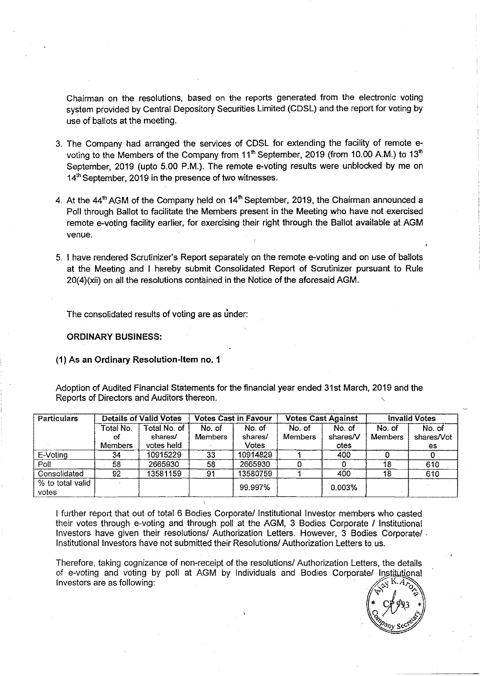Chairman on the resolutions, based on the reports generated from the electronic voting system provided by Central Depository Securities Limited (CDSL) and the report for voting by use of ballots at the meeting.

- 3. The Company had arranged the services of CDSL for extending the facility of remote evoting to the Members of the Company from 11<sup>th</sup> September, 2019 (from 10.00 A.M.) to 13<sup>th</sup> September, 2019 (upto 5.00 P.M.). The remote e-voting results were unblocked by me on 14<sup>th</sup> September, 2019 in the presence of two witnesses.
- 4. At the  $44<sup>th</sup>$  AGM of the Company held on  $14<sup>th</sup>$  September, 2019, the Chairman announced a Poll through Ballot to facilitate the Members present in the Meeting who have not exercised remote e-voting facility earlier, for exercising their right through the Ballot available at AGM venue.
- 5. I have rendered &rutinizer's Report separately on the remote e-voting and on use of ballots at the Meeting and I hereby submit Consolidated Report of Scrutinizer pursuant to Rule 20(4)(xii) on all the resolutions contained in the Notice of the aforesaid AGM.

The consolidated results of voting are as under:

#### ORDINARY BUSINESS:

#### (1) As an Ordinary Resolution-Item no. 1

Adoption of Audited Financial Statements for the financial year ended 31st March, 2019 and the Reports of Directors and Auditors thereon.

| <b>Particulars</b>        | <b>Details of Valid Votes</b>      |                                       | <b>Votes Cast in Favour</b> |                            | <b>Votes Cast Against</b> |                            | <b>Invalid Votes</b>     |                            |
|---------------------------|------------------------------------|---------------------------------------|-----------------------------|----------------------------|---------------------------|----------------------------|--------------------------|----------------------------|
|                           | Total No.<br>of.<br><b>Members</b> | Total No. of<br>shares/<br>votes held | No. of<br><b>Members</b>    | No. of<br>shares/<br>Votes | No. of<br><b>Members</b>  | No. of<br>shares/V<br>otes | No. of<br><b>Members</b> | No. of<br>shares/Vot<br>es |
| E-Voting                  | 34                                 | 10915229                              | 33                          | 10914829                   |                           | 400                        |                          |                            |
| Poll                      | 58                                 | 2665930                               | 58                          | 2665930                    |                           |                            | 18                       | 610                        |
| Consolidated              | 92                                 | 13581159                              | 91                          | 13580759                   |                           | 400                        | 18                       | 610                        |
| % to total valid<br>votes |                                    |                                       |                             | 99.997%                    |                           | 0.003%                     |                          | $\sim$                     |

I further report that out of total 6 Bodies Corporate/ Institutional Investor members who casted their votes through e-voting and through poll at the AGM, 3 Bodies Corporate / Institutional Investors have given their resolutions/ Authorization Letters. However, 3 Bodies Corporate/. Institutional Investors have not submitted their Resolutions! Authorization Letters to us.

Therefore, taking cognizance of non-receipt of the resolutions/ Authorization Letters, the details of e-voting and voting by poll at AGM by Individuals and Bodies Corporate/ Institutional Investors are as following:

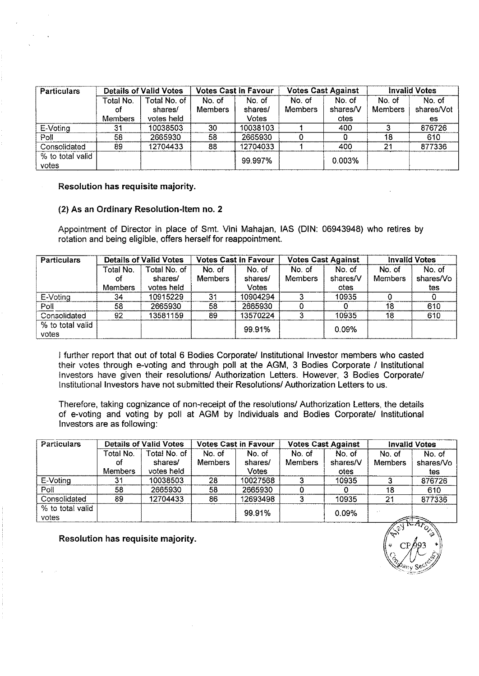| <b>Particulars</b> | <b>Details of Valid Votes</b> |              | Votes Cast in Favour |          | <b>Votes Cast Against</b> |          | <b>Invalid Votes</b> |            |
|--------------------|-------------------------------|--------------|----------------------|----------|---------------------------|----------|----------------------|------------|
|                    | Total No.                     | Total No. of | No. of               | No. of   | No. of                    | No. of   | No. of               | No. of     |
|                    | ot                            | shares/      | <b>Members</b>       | shares/  | <b>Members</b>            | shares/V | Members              | shares/Vot |
|                    | <b>Members</b>                | votes held   |                      | Votes    |                           | otes     |                      | es         |
| E-Voting           | 31                            | 10038503     | 30                   | 10038103 |                           | 400      |                      | 876726     |
| Poll               | 58                            | 2665930      | 58                   | 2665930  |                           |          | 18                   | 610        |
| Consolidated       | -89                           | 12704433     | 88                   | 12704033 |                           | 400      | 21                   | 877336     |
| % to total valid   |                               |              |                      | 99.997%  |                           | 0.003%   |                      |            |
| votes              |                               |              |                      |          |                           |          |                      |            |

#### (2) As an Ordinary Resolution-Item no. 2

Appointment of Director in place of Smt. Vini Mahajan, lAS (DIN: 06943948) who retires by rotation and being eligible, offers herself for reappointment.

| <b>Particulars</b> | <b>Details of Valid Votes</b> |              |                | <b>Votes Cast in Favour</b> |                | <b>Votes Cast Against</b> |                | <b>Invalid Votes</b> |  |
|--------------------|-------------------------------|--------------|----------------|-----------------------------|----------------|---------------------------|----------------|----------------------|--|
|                    | Total No.                     | Total No. of | No. of         | No. of                      | No. of         | No. of                    | No. of         | No. of               |  |
|                    | ΟĪ                            | shares/      | <b>Members</b> | shares/                     | <b>Members</b> | shares/V                  | <b>Members</b> | shares/Vo            |  |
|                    | <b>Members</b>                | votes held   |                | Votes                       |                | otes                      |                | tes                  |  |
| E-Voting           | 34                            | 10915229     | 31             | 10904294                    |                | 10935                     |                |                      |  |
| Poll               | 58                            | 2665930      | 58             | 2665930                     |                |                           | 18             | 610                  |  |
| Consolidated       | 92                            | 13581159     | 89             | 13570224                    |                | 10935                     | 18             | 610                  |  |
| % to total valid   |                               |              |                | 99.91%                      |                | 0.09%                     |                |                      |  |
| votes              |                               |              |                |                             |                |                           |                |                      |  |

I further report that out of total 6 Bodies Corporate/ Institutional Investor members who casted their votes through e-voting and through poll at the AGM, 3 Bodies Corporate / Institutional Investors have given their resolutions/ Authorization Letters. However, 3 Bodies Corporate/ Institutional Investors have not submitted their Resolutions! Authorization Letters to us.

Therefore, taking cognizance of non-receipt of the resolutions/ Authorization Letters, the details of e-voting and voting by poll at AGM by Individuals and Bodies Corporate/ Institutional Investors are as following:

| Particulars               |                | Details of Valid Votes           | <b>Votes Cast in Favour</b> |          |                | <b>Votes Cast Against</b> | <b>Invalid Votes</b>        |                 |
|---------------------------|----------------|----------------------------------|-----------------------------|----------|----------------|---------------------------|-----------------------------|-----------------|
|                           | Total No.      | Total No. of                     | No. of                      | No. of   | No. of         | No. of                    | No. of                      | No. of          |
|                           | Ωf             | shares/                          | <b>Members</b>              | shares/  | <b>Members</b> | shares/V                  | <b>Members</b>              | shares/Vo       |
|                           | <b>Members</b> | votes held                       |                             | Votes    |                | otes                      |                             | tes             |
| E-Voting                  | 31             | 10038503                         | 28                          | 10027568 |                | 10935                     |                             | 876726          |
| Poll                      | 58             | 2665930                          | 58                          | 2665930  |                |                           | 18                          | 610             |
| Consolidated              | 89             | 12704433                         | 86                          | 12693498 |                | 10935                     | 21                          | 877336          |
| % to total valid<br>votes |                |                                  |                             | 99.91%   |                | 0.09%                     |                             |                 |
|                           |                | Manakiting kacamatan ing manakan |                             |          |                |                           | $\sqrt{\mathcal{E}}$<br>700 | $\sqrt{2\pi a}$ |

 $CP/993$  ,  $\frac{1}{2}$ 

Resolution has requisite majority.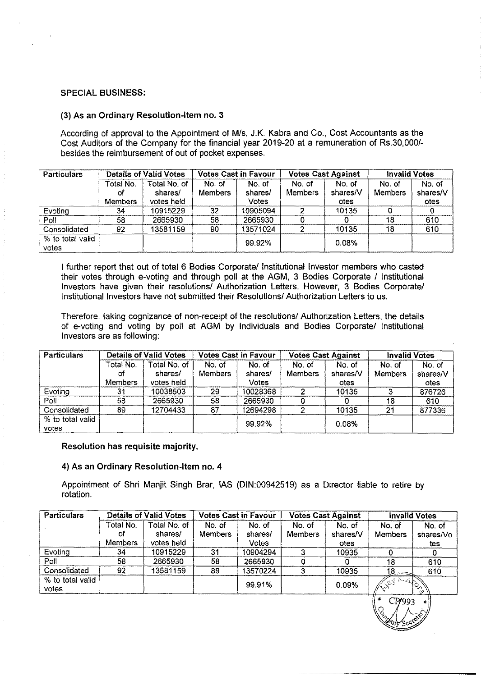#### SPECIAL BUSINESS:

#### (3) As an Ordinary Resolution-Item no. 3

According of approval to the Appointment of Mis. J.K. Kabra and Co., Cost Accountants as the Cost Auditors of the Company for the financial year 2019-20 at a remuneration of Rs.30,0001 besides the reimbursement of out of pocket expenses.

| <b>Particulars</b>        |                | <b>Details of Valid Votes</b> | <b>Votes Cast in Favour</b> |              | <b>Votes Cast Against</b> |          | <b>Invalid Votes</b> |          |
|---------------------------|----------------|-------------------------------|-----------------------------|--------------|---------------------------|----------|----------------------|----------|
|                           | Total No.      | Total No. of                  | No. of                      | No. of       | No. of                    | No. of   | No of                | No. of   |
|                           | ΟŤ             | shares/                       | <b>Members</b>              | shares/      | Members                   | shares/V | <b>Members</b>       | shares/V |
|                           | <b>Members</b> | votes held                    |                             | <b>Votes</b> |                           | otes     |                      | otes     |
| Evoting                   | 34             | 10915229                      | 32 <sub>2</sub>             | 10905094     |                           | 10135    |                      |          |
| Poll                      | 58             | 2665930                       | 58                          | 2665930      |                           |          | 18                   | 610      |
| Consolidated              | 92             | 13581159                      | 90                          | 13571024     |                           | 10135    | 18                   | 610      |
| % to total valid<br>votes |                |                               |                             | 99.92%       |                           | 0.08%    |                      |          |

I further report that out of total 6 Bodies Corporate/lnstitutional Investor members who casted their votes through e-voting and through poll at the AGM, 3 Bodies Corporate *I* Institutional Investors have given their resolutions/ Authorization Letters. However, 3 Bodies Corporate/ Institutional Investors have not submitted their Resolutions/ Authorization Letters to us.

Therefore, taking cognizance of non-receipt of the resolutions/ Authorization Letters, the details of e-voting and voting by poll at AGM by Individuals and Bodies *Corporatel* Institutional Investors are as following:

| <b>Particulars</b> |                | <b>Details of Valid Votes</b> | <b>Votes Cast in Favour</b> |          | <b>Votes Cast Against</b> |          | <b>Invalid Votes</b> |          |
|--------------------|----------------|-------------------------------|-----------------------------|----------|---------------------------|----------|----------------------|----------|
|                    | Total No.      | Total No. of                  | No. of                      | No. of   | No. of                    | No. of   | No. of               | No. of   |
|                    | Οf             | shares/                       | <b>Members</b>              | shares/  | Members                   | shares/V | Members              | shares/V |
|                    | <b>Members</b> | votes held                    |                             | Votes    |                           | otes     |                      | otes     |
| Evoting            | 31             | 10038503                      | 29                          | 10028368 |                           | 10135    |                      | 876726   |
| $P$ oll            | 58             | 2665930                       | 58                          | 2665930  |                           |          | 18                   | 610      |
| Consolidated       | 89             | 12704433                      | 87                          | 12694298 |                           | 10135    | 21                   | 877336   |
| % to total valid   |                |                               |                             | 99.92%   |                           | 0.08%    |                      |          |
| votes              |                |                               |                             |          |                           |          |                      |          |

#### Resolution has requisite majority.

#### 4) As an Ordinary Resolution-Item no. 4

Appointment of Shri Manjit Singh Brar, lAS (DIN:00942519) as a Director liable to retire by rotation.

| <b>Particulars</b>        |                | <b>Details of Valid Votes</b> | <b>Votes Cast in Favour</b> |          | <b>Votes Cast Against</b> |          | <b>Invalid Votes</b> |           |
|---------------------------|----------------|-------------------------------|-----------------------------|----------|---------------------------|----------|----------------------|-----------|
|                           | Total No.      | Total No. of                  | No. of                      | No. of   | No. of                    | No. of   | No. of               | No. of    |
|                           | оf             | shares/                       | Members                     | shares/  | Members                   | shares/V | <b>Members</b>       | shares/Vo |
|                           | <b>Members</b> | votes held                    |                             | Votes    |                           | otes     |                      | tes       |
| Evoting                   | 34             | 10915229                      | 31                          | 10904294 |                           | 10935    |                      |           |
| Poll                      | 58             | 2665930                       | 58                          | 2665930  |                           |          | 18                   | 610       |
| Consolidated              | 92             | 13581159                      | 89                          | 13570224 |                           | 10935    | $18 -$               | 610       |
| % to total valid<br>votes |                |                               |                             | 99.91%   |                           | 0.09%    | 13 A                 | $\omega$  |

 $\| \circ$  CP/993 \*)  $3.1 \wedge z$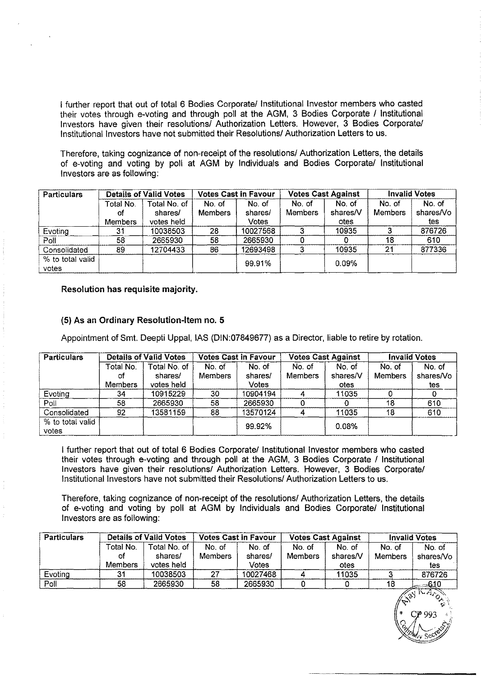I further report that out of total 6 Bodies Corporate/ Institutional Investor members who casted their votes through e-voting and through poll at the AGM, 3 Bodies Corporate / Institutional Investors have given their resolutions/ Authorization Letters. However, 3 Bodies Corporate/ Institutional Investors have not submitted their Resolutions/ Authorization Letters to us.

Therefore, taking cognizance of non-receipt of the resolutions/ Authorization Letters, the details of e-voting and voting by poll at AGM by Individuals and Bodies Corporate/ Institutional Investors are as following:

| <b>Particulars</b> |                | <b>Details of Valid Votes</b> | <b>Votes Cast in Favour</b> |          | <b>Votes Cast Against</b> |          | <b>Invalid Votes</b> |           |
|--------------------|----------------|-------------------------------|-----------------------------|----------|---------------------------|----------|----------------------|-----------|
|                    | Total No.      | Total No. of                  | No. of                      | No. of   | No. of                    | No. of   | No. of               | No. of    |
|                    | Οf             | shares/                       | Members                     | shares/  | <b>Members</b>            | shares/V | <b>Members</b>       | shares/Vo |
|                    | <b>Members</b> | votes held                    |                             | Votes    |                           | otes     |                      | tes.      |
| Evoting            | 31             | 10038503                      | 28                          | 10027568 |                           | 10935    |                      | 876726    |
| Poll               | 58             | 2665930                       | 58                          | 2665930  |                           |          | 18                   | 610       |
| Consolidated       | 89             | 12704433                      | 86                          | 12693498 |                           | 10935    | 21                   | 877336    |
| % to total valid   |                |                               |                             | 99.91%   |                           | 0.09%    |                      |           |
| votes              |                |                               |                             |          |                           |          |                      |           |

Resolution has requisite majority.

#### (5) As an Ordinary Resolution-Item no. 5

Appointment of Smt. Deepti Uppal, lAS (DIN:07849677) as a Director, liable to retire by rotation.

| Particulars      |                | <b>Details of Valid Votes</b> |                | <b>Votes Cast in Favour</b> |         | <b>Votes Cast Against</b> |                | <b>Invalid Votes</b> |
|------------------|----------------|-------------------------------|----------------|-----------------------------|---------|---------------------------|----------------|----------------------|
|                  | Total No.      | Total No. of                  | No. of         | No. of                      | No. of  | No. of                    | No. of         | No. of               |
|                  | Оf             | shares/                       | <b>Members</b> | shares/                     | Members | shares/V                  | <b>Members</b> | shares/Vo            |
|                  | <b>Members</b> | votes held                    |                | Votes                       |         | otes                      |                | tes                  |
| Evoting          | 34             | 10915229                      | 30             | 10904194                    |         | 11035                     |                |                      |
| Poll             | 58             | 2665930                       | 58             | 2665930                     |         |                           | 18             | 610                  |
| Consolidated     | 92             | 13581159                      | 88             | 13570124                    |         | 11035                     | 18             | 610                  |
| % to total valid |                |                               |                | 99.92%                      |         | 0.08%                     |                |                      |
| votes            |                |                               |                |                             |         |                           |                |                      |

I further report that out of total 6 Bodies Corporate/ Institutional Investor members who casted their votes through e-voting and through poll at the AGM, 3 Bodies Corporate / Institutional Investors have given their resolutions/ Authorization Letters. However, 3 Bodies Corporate/ Institutional Investors have not submitted their Resolutions/ Authorization Letters to us.

Therefore, taking cognizance of non-receipt of the resolutions/ Authorization Letters, the details of e-voting and voting by poll at AGM by Individuals and Bodies Corporate/ Institutional Investors are as following:

| <b>Particulars</b> |                            | <b>Details of Valid Votes</b>         | <b>Votes Cast in Favour</b> |                            | <b>Votes Cast Against</b> |                            | <b>Invalid Votes</b>     |                            |
|--------------------|----------------------------|---------------------------------------|-----------------------------|----------------------------|---------------------------|----------------------------|--------------------------|----------------------------|
|                    | Total No.<br>οf<br>Members | Total No. of<br>shares/<br>votes held | No. of<br><b>Members</b>    | No. of<br>shares/<br>Votes | No. of<br>Members         | No. of<br>shares/V<br>otes | No. of<br><b>Members</b> | No. of<br>shares/Vo<br>tes |
| Evoting            | 31                         | 10038503                              | 27                          | 10027468                   |                           | 11035                      |                          | 876726                     |
| Poll               | 58                         | 2665930                               | 58                          | 2665930                    |                           |                            | 18                       | ___610                     |
|                    |                            |                                       |                             |                            |                           |                            | $\mathbb{R}^8$           | $M_{\alpha\alpha}$         |

 $\mathcal{G}$  ).

 $(*\frac{6}{3}$   $993$   $*$   $*$ *o ~* '1-.'"  $2d_{\rm w}$  sec $\mathscr{G}$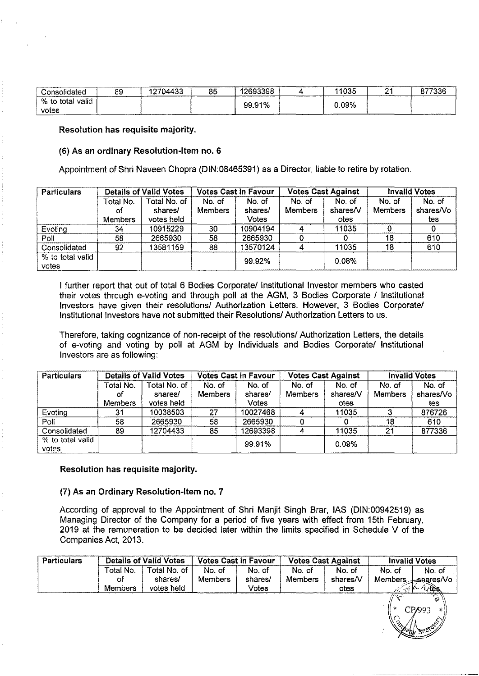| Consolidated                         | 89 | 12704433 | 85 | 12693398 | 11035 | ___________________ | 877336 |
|--------------------------------------|----|----------|----|----------|-------|---------------------|--------|
| .<br>% to<br>valid<br>total<br>votes |    |          |    | 99.91%   | 0.09% |                     |        |

#### (6) As an ordinary Resolution-Item no. 6

Appointment of Shri Naveen Chopra (DIN:08465391) as a Director, liable to retire by rotation.

| <b>Particulars</b>        |                            | <b>Details of Valid Votes</b>         |                          | <b>Votes Cast in Favour</b> |                          | <b>Votes Cast Against</b>  |                          | <b>Invalid Votes</b>       |
|---------------------------|----------------------------|---------------------------------------|--------------------------|-----------------------------|--------------------------|----------------------------|--------------------------|----------------------------|
|                           | Total No.<br>οt<br>Members | Total No. of<br>shares/<br>votes held | No. of<br><b>Members</b> | No. of<br>shares/<br>Votes  | No. of<br><b>Members</b> | No. of<br>shares/V<br>otes | No. of<br><b>Members</b> | No. of<br>shares/Vo<br>tes |
| Evoting                   | 34                         | 10915229                              | 30                       | 10904194                    |                          | 11035                      |                          |                            |
| Poll                      | 58                         | 2665930                               | 58                       | 2665930                     |                          |                            | 18                       | 610                        |
| Consolidated              | 92                         | 13581159                              | 88                       | 13570124                    |                          | 11035                      | 18                       | 610                        |
| % to total valid<br>votes |                            |                                       |                          | 99.92%                      |                          | 0.08%                      |                          |                            |

I further report that out of total 6 Bodies Corporate/ Institutional Investor members who casted their votes through e-voting and through poll at the AGM, 3 Bodies Corporate / Institutional Investors have given their resolutions/ Authorization Letters. However, 3 Bodies Corporate/ Institutional Investors have not submitted their Resolutions/ Authorization Letters to us.

Therefore, taking cognizance of non-receipt of the resolutions/ Authorization Letters, the details of e-voting and voting by poll at AGM by Individuals and Bodies Corporate/ Institutional Investors are as following:

| <b>Particulars</b> | <b>Details of Valid Votes</b> |              | <b>Votes Cast in Favour</b> |              | <b>Votes Cast Against</b> |          | <b>Invalid Votes</b> |           |
|--------------------|-------------------------------|--------------|-----------------------------|--------------|---------------------------|----------|----------------------|-----------|
|                    | Total No.                     | Total No. of | No. of                      | No. of       | No. of                    | No. of   | No. of               | No. of    |
|                    | сf                            | shares/      | <b>Members</b>              | shares/      | <b>Members</b>            | shares/V | <b>Members</b>       | shares/Vo |
|                    | <b>Members</b>                | votes held   |                             | <b>Votes</b> |                           | otes     |                      | tes       |
| Evoting            | 31                            | 10038503     | 27                          | 10027468     |                           | 11035    |                      | 876726    |
| Poll               | 58                            | 2665930      | 58                          | 2665930      |                           |          | 18                   | 610       |
| Consolidated       | 89                            | 12704433     | 85                          | 12693398     |                           | 11035    | 21                   | 877336    |
| % to total valid   |                               |              |                             | 99.91%       |                           | $0.09\%$ |                      |           |
| votes              |                               |              |                             |              |                           |          |                      |           |

Resolution has requisite majority.

#### (7) As an Ordinary Resolution-Item no. 7

According of approval to the Appointment of Shri Manjit Singh Brar, lAS (DIN:00942519) as Managing Director of the Company for a period of five years with effect from 15th February, 2019 at the remuneration to be decided later within the limits specified in Schedule V of the Companies Act, 2013.

| <b>Particulars</b> |                                   | <b>Details of Valid Votes</b>         |                          | <b>Votes Cast in Favour</b> |                          | <b>Votes Cast Against</b>  |        | <b>Invalid Votes</b>                                                        |  |
|--------------------|-----------------------------------|---------------------------------------|--------------------------|-----------------------------|--------------------------|----------------------------|--------|-----------------------------------------------------------------------------|--|
|                    | Total No.<br>Оf<br><b>Members</b> | Total No. of<br>shares/<br>votes held | No. of<br><b>Members</b> | No. of<br>shares/<br>Votes  | No. of<br><b>Members</b> | No. of<br>shares/V<br>otes | No. of | No. of<br>Members $\pm$ shares/Vo<br>$A$ <sub><math>\lambda</math></sub> es |  |
|                    |                                   |                                       |                          |                             |                          |                            | $\sim$ | CP/993<br>$\ast$ :                                                          |  |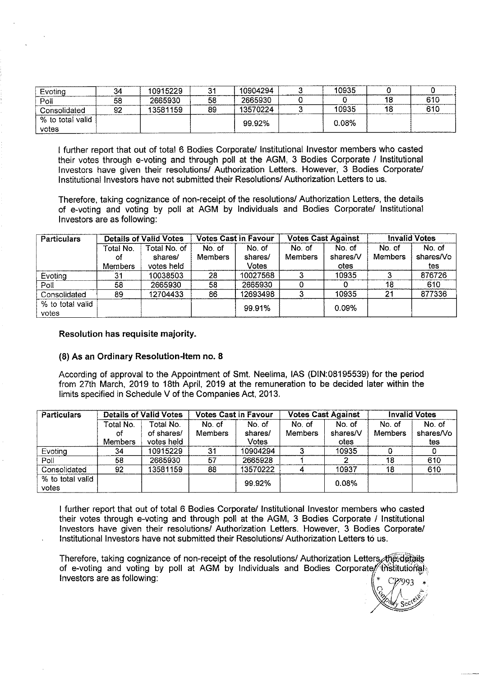| Evoting                            | 34 | 10915229 | 24 | 10904294 | 10935 |                            |
|------------------------------------|----|----------|----|----------|-------|----------------------------|
| ---- <del>----------</del><br>Poll | 58 | 2665930  | 58 | 2665930  |       | 610                        |
| Consolidated                       | 92 | 13581159 | 89 | 13570224 | 10935 | 610<br>___________________ |
| % to total valid                   |    |          |    | 99.92%   | 0.08% |                            |
| votes                              |    |          |    |          |       |                            |

I further report that out of total 6 Bodies Corporate/ Institutional Investor members who casted their votes through e-voting and through poll at the AGM, 3 Bodies Corporate / Institutional Investors have given their resolutions/ Authorization Letters. However, 3 Bodies Corporate/ Institutional Investors have not submitted their Resolutions/ Authorization Letters to us.

Therefore, taking cognizance of non-receipt of the resolutions/ Authorization Letters, the details of e-voting and voting by poll at AGM by Individuals and Bodies Corporate/ Institutional Investors are as following:

| <b>Particulars</b> | <b>Details of Valid Votes</b> |              | <b>Votes Cast in Favour</b> |          | <b>Votes Cast Against</b> |          | <b>Invalid Votes</b> |           |
|--------------------|-------------------------------|--------------|-----------------------------|----------|---------------------------|----------|----------------------|-----------|
|                    | Total No.                     | Total No. of | No. of                      | No. of   | No. of                    | No. of   | No. of               | No. of    |
|                    | ΟĪ                            | shares/      | <b>Members</b>              | shares/  | Members                   | shares/V | <b>Members</b>       | shares/Vo |
|                    | <b>Members</b>                | votes held   |                             | Votes    |                           | otes     |                      | tes       |
| Evoting            | 31                            | 10038503     | 28                          | 10027568 |                           | 10935    |                      | 876726    |
| Poll               | 58                            | 2665930      | 58                          | 2665930  |                           |          | 18                   | 610       |
| Consolidated       | 89                            | 12704433     | 86                          | 12693498 |                           | 10935    | 21                   | 877336    |
| % to total valid   |                               |              |                             | 99.91%   |                           | 0.09%    |                      |           |
| votes              |                               |              |                             |          |                           |          |                      |           |

#### Resolution has requisite majority.

#### (8) As an Ordinary Resolution-Item no. 8

According of approval to the Appointment of Smt. Neelima, lAS (DIN:08195539) for the period from 27th March, 2019 to 18th April, 2019 at the remuneration to be decided later within the limits specified in Schedule V of the Companies Act, 2013.

| <b>Particulars</b>        |                | <b>Details of Valid Votes</b> |         | <b>Votes Cast in Favour</b> |         | <b>Votes Cast Against</b> |         | <b>Invalid Votes</b> |
|---------------------------|----------------|-------------------------------|---------|-----------------------------|---------|---------------------------|---------|----------------------|
|                           | Total No.      | Total No.                     | No. of  | No. of                      | No. of  | No. of                    | No. of  | No. of               |
|                           | οf             | of shares/                    | Members | shares/                     | Members | shares/V                  | Members | shares/Vo            |
|                           | <b>Members</b> | votes held                    |         | Votes                       |         | otes                      |         | tes                  |
| Evoting                   | 34             | 10915229                      | 31      | 10904294                    |         | 10935                     |         |                      |
| $P$ oll                   | 58             | 2665930                       | 57      | 2665928                     |         |                           | 18      | 610                  |
| Consolidated              | 92             | 13581159                      | 88      | 13570222                    |         | 10937                     | 18      | 610                  |
| % to total valid<br>votes |                |                               |         | 99.92%                      |         | 0.08%                     |         |                      |

I further report that out of total 6 Bodies Corporate/ Institutional Investor members who casted their votes through e-voting and through poll at the AGM, 3 Bodies Corporate / Institutional Investors have given their resolutions/ Authorization Letters. However, 3 Bodies Corporate/ Institutional Investors have not submitted their Resolutions/ Authorization Letters to us.

Therefore, taking cognizance of non-receipt of the resolutions/ Authorization Letters, the details of e-voting and voting by poll at AGM by Individuals and Bodies Corporate/ thstitutional Investors are as following:

 $G \times A \longrightarrow$  $\sim$  ,  $\sim$  ,  $\sim$  ,  $\sim$  $\lesssim$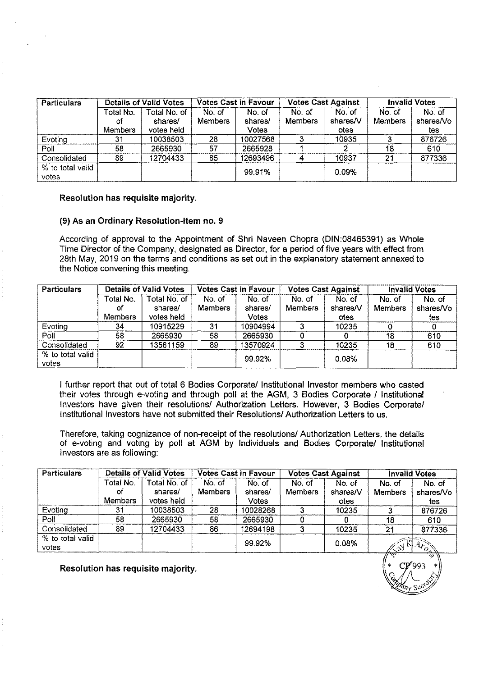| <b>Particulars</b>        |                                    | <b>Details of Valid Votes</b>         |                   | <b>Votes Cast in Favour</b>       |                          | <b>Votes Cast Against</b>  |                          | <b>Invalid Votes</b>       |  |
|---------------------------|------------------------------------|---------------------------------------|-------------------|-----------------------------------|--------------------------|----------------------------|--------------------------|----------------------------|--|
|                           | Total No.<br>-of<br><b>Members</b> | Total No. of<br>shares/<br>votes held | No. of<br>Members | No. of<br>shares/<br><b>Votes</b> | No. of<br><b>Members</b> | No. of<br>shares/V<br>otes | No. of<br><b>Members</b> | No. of<br>shares/Vo<br>tes |  |
| Evoting                   | 31                                 | 10038503                              | 28                | 10027568                          |                          | 10935                      |                          | 876726                     |  |
| Poll                      | 58                                 | 2665930                               | 57                | 2665928                           |                          |                            | 18                       | 610                        |  |
| Consolidated              | 89                                 | 12704433                              | 85                | 12693496                          |                          | 10937                      | 21                       | 877336                     |  |
| % to total valid<br>votes |                                    |                                       |                   | 99.91%                            |                          | 0.09%                      |                          |                            |  |

#### (9) As an Ordinary Resolution-Item no. 9

According of approval to the Appointment of Shri Naveen Chopra (DIN:08465391) as Whole Time Director of the Company, designated as Director, for a period of five years with effect from 28th May, 2019 on the terms and conditions as set out in the explanatory statement annexed to the Notice convening this meeting.

| <b>Particulars</b>        | <b>Details of Valid Votes</b> |              | <b>Votes Cast in Favour</b> |          | <b>Votes Cast Against</b> |          | <b>Invalid Votes</b> |           |
|---------------------------|-------------------------------|--------------|-----------------------------|----------|---------------------------|----------|----------------------|-----------|
|                           | Total No.                     | Total No. of | No. of                      | No. of   | No. of                    | No. of   | No. of               | No. of    |
|                           | ΩŤ                            | shares/      | Members                     | shares/  | <b>Members</b>            | shares/V | <b>Members</b>       | shares/Vo |
|                           | <b>Members</b>                | votes held   |                             | Votes    |                           | otes     |                      | tes       |
| Evoting                   | 34                            | 10915229     | 31                          | 10904994 |                           | 10235    |                      |           |
| Poll                      | 58                            | 2665930      | 58                          | 2665930  |                           |          | 18                   | 610       |
| Consolidated              | 92                            | 13581159     | 89                          | 13570924 |                           | 10235    | 18                   | 610       |
| % to total valid<br>votes |                               |              |                             | 99.92%   |                           | 0.08%    |                      |           |

I further report that out of total 6 Bodies Corporate/ Institutional Investor members who casted their votes through e-voting and through poll at the AGM, 3 Bodies Corporate / Institutional Investors have given their resolutions/ Authorization Letters. However, 3 Bodies Corporate/ Institutional Investors have not submitted their Resolutions/ Authorization Letters to us.

Therefore, taking cognizance of non-receipt of the resolutions/ Authorization Letters, the details of e-voting and voting by poll at AGM by Individuals and Bodies Corporate/ Institutional Investors are as following:

| <b>Particulars</b> |                | <b>Details of Valid Votes</b> |                | <b>Votes Cast in Favour</b> |         | <b>Votes Cast Against</b> | <b>Invalid Votes</b> |                      |
|--------------------|----------------|-------------------------------|----------------|-----------------------------|---------|---------------------------|----------------------|----------------------|
|                    | Total No.      | Total No. of                  | No. of         | No. of                      | No. of  | No. of                    | No. of               | No. of               |
|                    | οt             | shares/                       | <b>Members</b> | shares/                     | Members | shares/V                  | Members              | shares/Vo            |
|                    | <b>Members</b> | votes held                    |                | Votes                       |         | otes                      |                      | tes                  |
| Evoting            | 31             | 10038503                      | 28             | 10028268                    |         | 10235                     |                      | 876726               |
| Poll               | 58             | 2665930                       | 58             | 2665930                     |         |                           | 18                   | 610                  |
| Consolidated       | 89             | 12704433                      | 86             | 12694198                    |         | 10235                     | 21                   | 877336               |
| % to total valid   |                |                               |                | 99.92%                      |         | 0.08%                     |                      |                      |
| votes              |                |                               |                |                             |         |                           | 7.3)<br>----         | $A_{a_{o_{\Delta}}}$ |

 $\mathcal{L}_i$ ,  $\mathcal{L}_j$ 

omy se<sup>rs)</sup> *n* sec~

Resolution has requisite majority.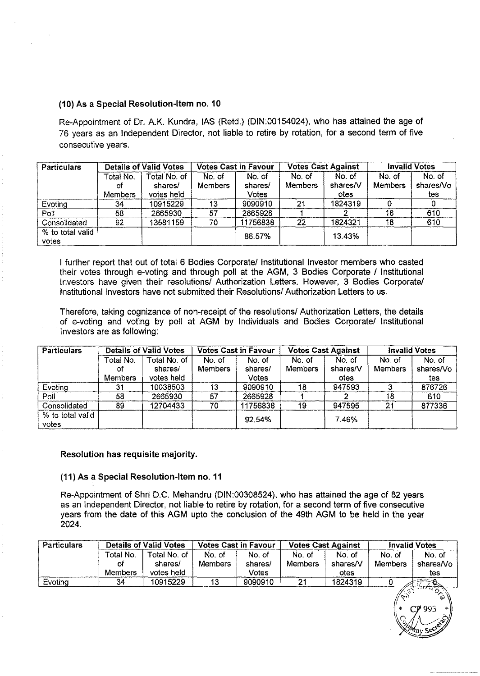#### (10) As a Special Resolution-Item no. 10

Re-Appointment of Dr. A.K. Kundra, lAS (Retd.) (DIN:00154024), who has attained the age of 76 years as an Independent Director, not liable to retire by rotation, for a second term of five consecutive years.

| <b>Particulars</b>        | <b>Details of Valid Votes</b>     |                                       | <b>Votes Cast in Favour</b> |                            | <b>Votes Cast Against</b> |                                   | <b>Invalid Votes</b>     |                            |
|---------------------------|-----------------------------------|---------------------------------------|-----------------------------|----------------------------|---------------------------|-----------------------------------|--------------------------|----------------------------|
|                           | Total No.<br>οf<br><b>Members</b> | Total No. of<br>shares/<br>votes held | No. of<br><b>Members</b>    | No. of<br>shares/<br>Votes | No. of<br><b>Members</b>  | No. of<br>shares/V<br><b>otes</b> | No. of<br><b>Members</b> | No. of<br>shares/Vo<br>tes |
| Evoting                   | 34                                | 10915229                              | 13                          | 9090910                    | 21                        | 1824319                           |                          |                            |
| Poll                      | 58                                | 2665930                               | 57                          | 2665928                    |                           |                                   | 18                       | 610                        |
| Consolidated              | 92                                | 13581159                              | 70                          | 11756838                   | 22                        | 1824321                           | 18                       | 610                        |
| % to total valid<br>votes |                                   |                                       |                             | 86.57%                     |                           | 13.43%                            |                          |                            |

I further report that out of total 6 Bodies Corporate/ Institutional Investor members who casted their votes through e-voting and through poll at the AGM, 3 Bodies Corporate / Institutional Investors have given their resolutions/ Authorization Letters. However, 3 Bodies Corporate/ Institutional Investors have not submitted their Resolutions/ Authorization Letters to us.

Therefore, taking cognizance of non-receipt of the resolutions/ Authorization Letters, the details of e-voting and voting by poll at AGM by Individuals and Bodies Corporate/ Institutional Investors are as following:

| <b>Particulars</b> | <b>Details of Valid Votes</b> |              | <b>Votes Cast in Favour</b> |          | <b>Votes Cast Against</b> |          | <b>Invalid Votes</b> |           |
|--------------------|-------------------------------|--------------|-----------------------------|----------|---------------------------|----------|----------------------|-----------|
|                    | Total No.                     | Total No. of | No. of                      | No. of   | No. of                    | No. of   | No. of               | No. of    |
|                    | οf                            | shares/      | <b>Members</b>              | shares/  | Members                   | shares/V | <b>Members</b>       | shares/Vo |
|                    | <b>Members</b>                | votes held   |                             | Votes    |                           | otes     |                      | tes       |
| Evoting            | 31                            | 10038503     | 13                          | 9090910  | 18                        | 947593   |                      | 876726    |
| Poll               | 58                            | 2665930      | 57                          | 2665928  |                           |          | 18                   | 610       |
| Consolidated       | 89                            | 12704433     | 70                          | 11756838 | 19                        | 947595   | 21                   | 877336    |
| % to total valid   |                               |              |                             | 92.54%   |                           | 7.46%    |                      |           |
| votes              |                               |              |                             |          |                           |          |                      |           |

Resolution has requisite majority.

#### (11) As a Special Resolution-Item no. 11

Re-Appointment of Shri D.C. Mehandru (DIN:00308524), who has attained the age of 82 years as an Independent Director, not liable to retire by rotation, for a second term of five consecutive years from the date of this AGM upto the conclusion of the 49th AGM to be held in the year 2024.

| <b>Particulars</b> | <b>Details of Valid Votes</b>     |                                       | <b>Votes Cast in Favour</b> |                            | <b>Votes Cast Against</b> |                           | <b>Invalid Votes</b>     |                            |
|--------------------|-----------------------------------|---------------------------------------|-----------------------------|----------------------------|---------------------------|---------------------------|--------------------------|----------------------------|
|                    | Total No.<br>ΟÌ<br><b>Members</b> | Total No. of<br>shares/<br>votes held | No. of<br><b>Members</b>    | No. of<br>shares/<br>Votes | No. of<br><b>Members</b>  | No of<br>shares/V<br>otes | No. of<br><b>Members</b> | No. of<br>shares/Vo<br>tes |
| Evoting            | 34                                | 10915229                              | 13                          | 9090910                    |                           | 1824319                   | 7. V                     |                            |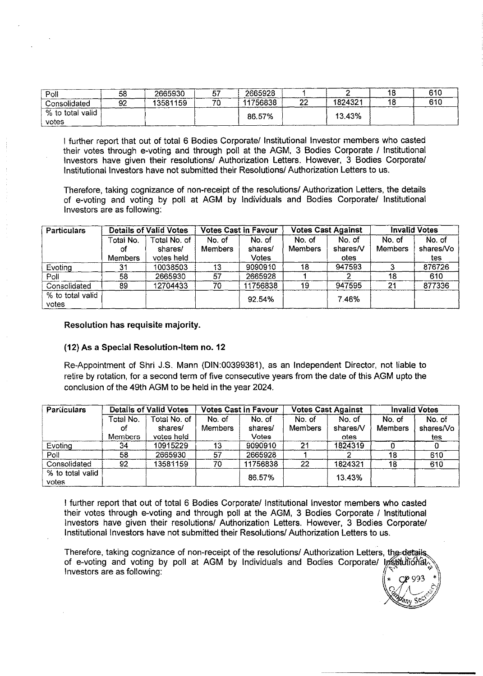| Poll             | 58 | 2665930  | يس سم | 2665928  |    |         | 610   |
|------------------|----|----------|-------|----------|----|---------|-------|
| Consolidated     | 92 | 13581159 | 70    | 11756838 | n. | 1824321 | -61 L |
| % to total valid |    |          |       | 86.57%   |    | 13.43%  |       |
| votes            |    |          |       |          |    |         |       |

I further report that out of total 6 Bodies Corporate/ Institutional Investor members who casted their votes through e-voting and through poll at the AGM, 3 Bodies Corporate / Institutional Investors have given their resolutions/ Authorization Letters. However, 3 Bodies Corporate/ Institutional Investors have not submitted their Resolutions/ Authorization Letters to us.

Therefore, taking cognizance of non-receipt of the resolutions/ Authorization Letters, the details of e-voting and voting by poll at AGM by Individuals and Bodies Corporate/ Institutional Investors are as following:

| <b>Particulars</b>        | <b>Details of Valid Votes</b>     |                                       | <b>Votes Cast in Favour</b> |                            | <b>Votes Cast Against</b> |                            | <b>Invalid Votes</b>    |                            |
|---------------------------|-----------------------------------|---------------------------------------|-----------------------------|----------------------------|---------------------------|----------------------------|-------------------------|----------------------------|
|                           | Total No.<br>ΩŤ<br><b>Members</b> | Total No. of<br>shares/<br>votes held | No. of<br><b>Members</b>    | No. of<br>shares/<br>Votes | No. of<br>Members         | No. of<br>shares/V<br>otes | No of<br><b>Members</b> | No. of<br>shares/Vo<br>tes |
| Evoting                   | 31                                | 10038503                              | 13                          | 9090910                    | 18                        | 947593                     |                         | 876726                     |
| Poll                      | 58                                | 2665930                               | 57                          | 2665928                    |                           |                            | 18                      | 610                        |
| Consolidated              | 89                                | 12704433                              | 70                          | 11756838                   | 19                        | 947595                     | -21                     | 877336                     |
| % to total valid<br>votes |                                   |                                       |                             | 92.54%                     |                           | 7.46%                      |                         |                            |

Resolution has requisite majority.

#### (12) As a Special Resolution-Item no. 12

Re-Appointment of Shri J.S. Mann (DIN:00399381), as an Independent Director, not liable to retire by rotation, for a second term of five consecutive years from the date of this AGM upto the conclusion of the 49th AGM to be held in the year 2024.

| Particulars      | <b>Details of Valid Votes</b> |              | <b>Votes Cast in Favour</b> |          | <b>Votes Cast Against</b> |          | <b>Invalid Votes</b> |           |
|------------------|-------------------------------|--------------|-----------------------------|----------|---------------------------|----------|----------------------|-----------|
|                  | Total No.                     | Total No. of | No. of                      | No. of   | No. of                    | No. of   | No. of               | No. of    |
|                  | Ωt                            | shares/      | <b>Members</b>              | shares/  | <b>Members</b>            | shares/V | <b>Members</b>       | shares/Vo |
|                  | Members                       | votes held   |                             | Votes    |                           | otes     |                      | tes       |
| Evoting          | 34                            | 10915229     | 13                          | 9090910  | 21                        | 1824319  |                      |           |
| Poll             | 58                            | 2665930      | 57                          | 2665928  |                           |          | 18                   | 610       |
| Consolidated     | 92                            | 13581159     | 70                          | 11756838 | 22                        | 1824321  | 18                   | 610       |
| % to total valid |                               |              |                             | 86.57%   |                           | 13.43%   |                      |           |
| votes            |                               |              |                             |          |                           |          |                      |           |

I further report that out of total 6 Bodies Corporate/ Institutional Investor members who casted their votes through e-voting and through poll at the AGM, 3 Bodies Corporate / Institutional Investors have given their resolutions/ Authorization Letters. However, 3 Bodies Corporate/ Institutional Investors have not submitted their Resolutions/ Authorization Letters to us.

Therefore, taking cognizance of non-receipt of the resolutions/ Authorization Letters, the details of e-voting and voting by poll at AGM by Individuals and Bodies Corporate/ Institutional Investors are as following: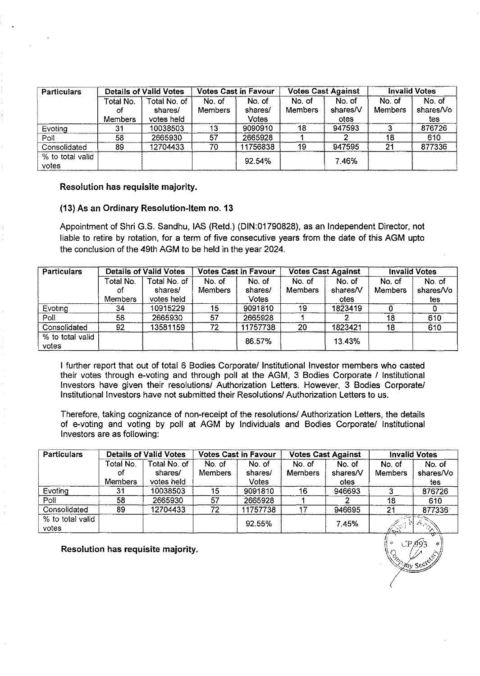| <b>Particulars</b>        | <b>Details of Valid Votes</b> |                                       | <b>Votes Cast in Favour</b> |                            | <b>Votes Cast Against</b> |                            | <b>Invalid Votes</b>     |                            |
|---------------------------|-------------------------------|---------------------------------------|-----------------------------|----------------------------|---------------------------|----------------------------|--------------------------|----------------------------|
|                           | Гotal No.<br>Ωf<br>Members    | Total No. of<br>shares/<br>votes held | No. of<br><b>Members</b>    | No. of<br>shares/<br>Votes | No. of<br><b>Members</b>  | No. of<br>shares/V<br>otes | No. of<br><b>Members</b> | No. of<br>shares/Vo<br>tes |
| Evoting                   | 31                            | 10038503                              | 13                          | 9090910                    | 18                        | 947593                     |                          | 876726                     |
| Poll                      | 58                            | 2665930                               | 57                          | 2665928                    |                           |                            | 18                       | 610                        |
| Consolidated              | 89                            | 12704433                              | 70                          | 11756838                   | 19                        | 947595                     | 21                       | 877336                     |
| % to total valid<br>votes |                               |                                       |                             | 92.54%                     |                           | 7.46%                      |                          |                            |

#### (13) As an Ordinary Resolution-Item no. 13

Appointment of Shri G.S. Sandhu, lAS (Retd.) (DIN:01790828), as an Independent Director, not liable to retire by rotation, for a term of five consecutive years from the date of this AGM upto the conclusion of the 49th AGM to be held in the year 2024.

| <b>Particulars</b>        | <b>Details of Valid Votes</b> |                                       | <b>Votes Cast in Favour</b> |                            | <b>Votes Cast Against</b> |                            | <b>Invalid Votes</b>     |                            |
|---------------------------|-------------------------------|---------------------------------------|-----------------------------|----------------------------|---------------------------|----------------------------|--------------------------|----------------------------|
|                           | Total No.<br>of<br>Members    | Total No. of<br>shares/<br>votes held | No. of<br><b>Members</b>    | No. of<br>shares/<br>Votes | No. of<br><b>Members</b>  | No. of<br>shares/V<br>otes | No. of<br><b>Members</b> | No. of<br>shares/Vo<br>tes |
| Evoting                   | 34                            | 10915229                              | 15                          | 9091810                    | 19.                       | 1823419                    |                          |                            |
| Poll                      | 58                            | 2665930                               | 57                          | 2665928                    |                           |                            | 18                       | 610                        |
| Consolidated              | 92                            | 13581159                              | 72                          | 11757738                   | 20                        | 1823421                    | 18                       | 610                        |
| % to total valid<br>votes |                               |                                       |                             | 86.57%                     |                           | 13.43%                     |                          |                            |

I further report that out of total 6 Bodies Corporate/ Institutional Investor members who casted their votes through e-voting and through poll at the AGM, 3 Bodies Corporate / Institutional Investors have given their resolutions/ Authorization Letters. However, 3 Bodies Corporate/ Institutional Investors have not submitted their Resolutions/ Authorization Letters to us.

Therefore, taking cognizance of non-receipt of the resolutions/ Authorization Letters, the details of e-voting and voting by poll at AGM by Individuals and Bodies Corporate/ Institutional Investors are as following:

| <b>Particulars</b>        | <b>Details of Valid Votes</b> |                       | <b>Votes Cast in Favour</b> |                  | <b>Votes Cast Against</b> |                  | <b>Invalid Votes</b> |                  |
|---------------------------|-------------------------------|-----------------------|-----------------------------|------------------|---------------------------|------------------|----------------------|------------------|
|                           | Total No.                     | Total No. of          | No. of                      | No. of           | No. of                    | No. of           | No. of               | No. of           |
|                           | ٥f<br><b>Members</b>          | shares/<br>votes held | <b>Members</b>              | shares/<br>Votes | <b>Members</b>            | shares/V<br>otes | <b>Members</b>       | shares/Vo<br>tes |
| Evoting                   | 31                            | 10038503              | 15                          | 9091810          | 16                        | 946693           |                      | 876726           |
| Poll                      | 58                            | 2665930               | 57                          | 2665928          |                           |                  | 18                   | 610              |
| Consolidated              | 89                            | 12704433              | 72                          | 11757738         |                           | 946695           | 21                   | 877336           |
| % to total valid<br>votes |                               |                       |                             | 92.55%           |                           | 7.45%            | $\sqrt{2}$           | Archive          |

Resolution has requisite majority.

 $\frac{1}{\sqrt{2}}$   $\frac{1}{\sqrt{2}}$ ,